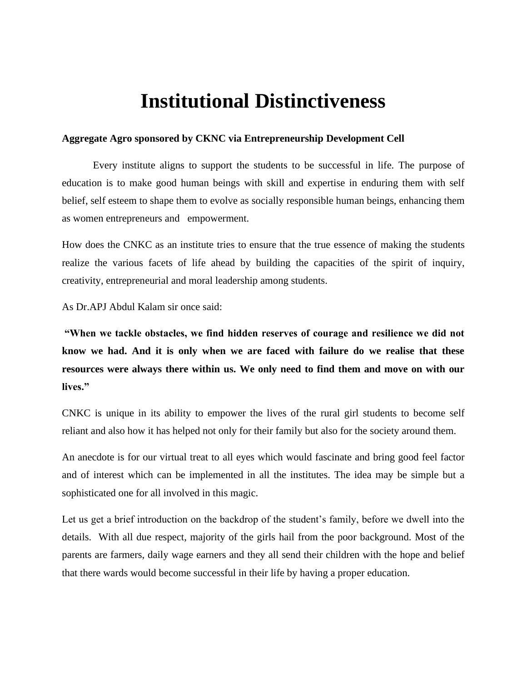## **Institutional Distinctiveness**

## **Aggregate Agro sponsored by CKNC via Entrepreneurship Development Cell**

Every institute aligns to support the students to be successful in life. The purpose of education is to make good human beings with skill and expertise in enduring them with self belief, self esteem to shape them to evolve as socially responsible human beings, enhancing them as women entrepreneurs and empowerment.

How does the CNKC as an institute tries to ensure that the true essence of making the students realize the various facets of life ahead by building the capacities of the spirit of inquiry, creativity, entrepreneurial and moral leadership among students.

As Dr.APJ Abdul Kalam sir once said:

**"When we tackle obstacles, we find hidden reserves of courage and resilience we did not know we had. And it is only when we are faced with failure do we realise that these resources were always there within us. We only need to find them and move on with our lives."**

CNKC is unique in its ability to empower the lives of the rural girl students to become self reliant and also how it has helped not only for their family but also for the society around them.

An anecdote is for our virtual treat to all eyes which would fascinate and bring good feel factor and of interest which can be implemented in all the institutes. The idea may be simple but a sophisticated one for all involved in this magic.

Let us get a brief introduction on the backdrop of the student's family, before we dwell into the details. With all due respect, majority of the girls hail from the poor background. Most of the parents are farmers, daily wage earners and they all send their children with the hope and belief that there wards would become successful in their life by having a proper education.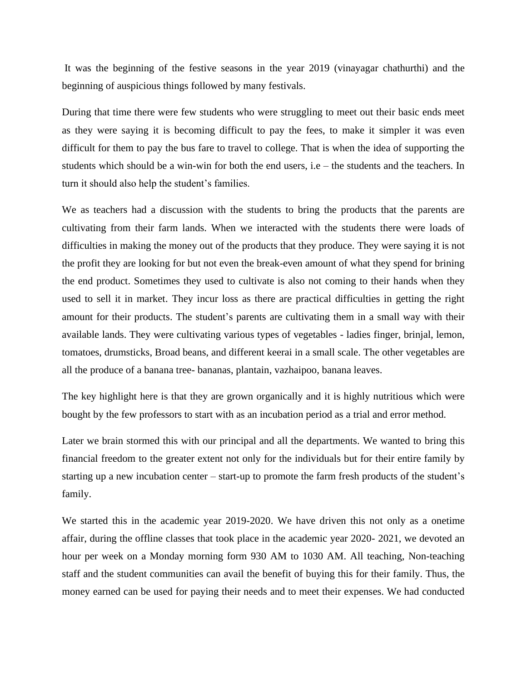It was the beginning of the festive seasons in the year 2019 (vinayagar chathurthi) and the beginning of auspicious things followed by many festivals.

During that time there were few students who were struggling to meet out their basic ends meet as they were saying it is becoming difficult to pay the fees, to make it simpler it was even difficult for them to pay the bus fare to travel to college. That is when the idea of supporting the students which should be a win-win for both the end users, i.e – the students and the teachers. In turn it should also help the student's families.

We as teachers had a discussion with the students to bring the products that the parents are cultivating from their farm lands. When we interacted with the students there were loads of difficulties in making the money out of the products that they produce. They were saying it is not the profit they are looking for but not even the break-even amount of what they spend for brining the end product. Sometimes they used to cultivate is also not coming to their hands when they used to sell it in market. They incur loss as there are practical difficulties in getting the right amount for their products. The student's parents are cultivating them in a small way with their available lands. They were cultivating various types of vegetables - ladies finger, brinjal, lemon, tomatoes, drumsticks, Broad beans, and different keerai in a small scale. The other vegetables are all the produce of a banana tree- bananas, plantain, vazhaipoo, banana leaves.

The key highlight here is that they are grown organically and it is highly nutritious which were bought by the few professors to start with as an incubation period as a trial and error method.

Later we brain stormed this with our principal and all the departments. We wanted to bring this financial freedom to the greater extent not only for the individuals but for their entire family by starting up a new incubation center – start-up to promote the farm fresh products of the student's family.

We started this in the academic year 2019-2020. We have driven this not only as a onetime affair, during the offline classes that took place in the academic year 2020- 2021, we devoted an hour per week on a Monday morning form 930 AM to 1030 AM. All teaching, Non-teaching staff and the student communities can avail the benefit of buying this for their family. Thus, the money earned can be used for paying their needs and to meet their expenses. We had conducted